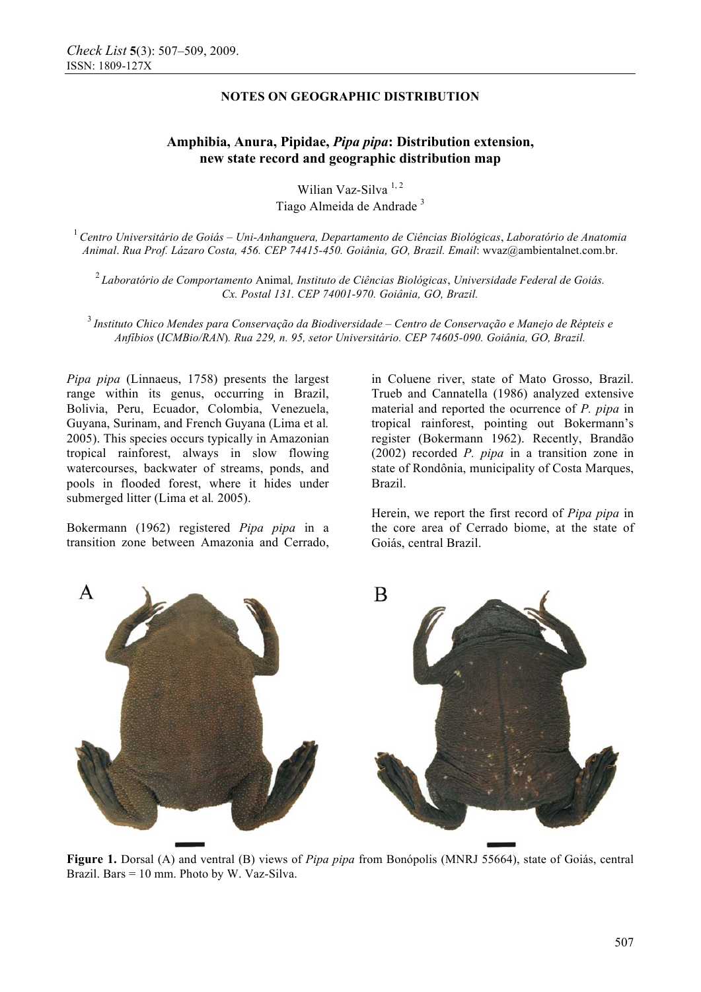# **NOTES ON GEOGRAPHIC DISTRIBUTION**

# **Amphibia, Anura, Pipidae,** *Pipa pipa***: Distribution extension, new state record and geographic distribution map**

Wilian Vaz-Silva<sup>1,2</sup> Tiago Almeida de Andrade <sup>3</sup>

<sup>1</sup>*Centro Universitário de Goiás – Uni-Anhanguera, Departamento de Ciências Biológicas*, *Laboratório de Anatomia Animal*. *Rua Prof. Lázaro Costa, 456. CEP 74415-450. Goiânia, GO, Brazil. Email*: wvaz@ambientalnet.com.br.

<sup>2</sup>*Laboratório de Comportamento* Animal*, Instituto de Ciências Biológicas*, *Universidade Federal de Goiás. Cx. Postal 131. CEP 74001-970. Goiânia, GO, Brazil.*

<sup>3</sup>*Instituto Chico Mendes para Conservação da Biodiversidade – Centro de Conservação e Manejo de Répteis e Anfíbios* (*ICMBio/RAN*)*. Rua 229, n. 95, setor Universitário. CEP 74605-090. Goiânia, GO, Brazil.* 

*Pipa pipa* (Linnaeus, 1758) presents the largest range within its genus, occurring in Brazil, Bolivia, Peru, Ecuador, Colombia, Venezuela, Guyana, Surinam, and French Guyana (Lima et al*.* 2005). This species occurs typically in Amazonian tropical rainforest, always in slow flowing watercourses, backwater of streams, ponds, and pools in flooded forest, where it hides under submerged litter (Lima et al*.* 2005).

Bokermann (1962) registered *Pipa pipa* in a transition zone between Amazonia and Cerrado, in Coluene river, state of Mato Grosso, Brazil. Trueb and Cannatella (1986) analyzed extensive material and reported the ocurrence of *P. pipa* in tropical rainforest, pointing out Bokermann's register (Bokermann 1962). Recently, Brandão (2002) recorded *P. pipa* in a transition zone in state of Rondônia, municipality of Costa Marques, Brazil.

Herein, we report the first record of *Pipa pipa* in the core area of Cerrado biome, at the state of Goiás, central Brazil.



**Figure 1.** Dorsal (A) and ventral (B) views of *Pipa pipa* from Bonópolis (MNRJ 55664), state of Goiás, central Brazil. Bars = 10 mm. Photo by W. Vaz-Silva.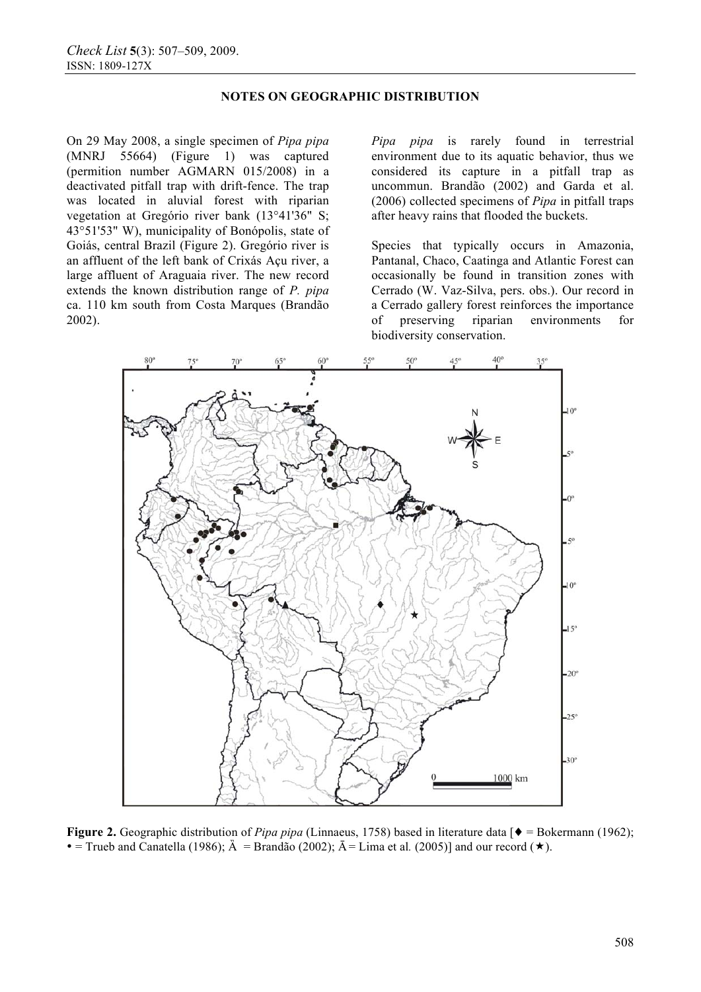## **NOTES ON GEOGRAPHIC DISTRIBUTION**

On 29 May 2008, a single specimen of *Pipa pipa*  (MNRJ 55664) (Figure 1) was captured (permition number AGMARN 015/2008) in a deactivated pitfall trap with drift-fence. The trap was located in aluvial forest with riparian vegetation at Gregório river bank (13°41'36" S; 43°51'53" W), municipality of Bonópolis, state of Goiás, central Brazil (Figure 2). Gregório river is an affluent of the left bank of Crixás Açu river, a large affluent of Araguaia river. The new record extends the known distribution range of *P. pipa*  ca. 110 km south from Costa Marques (Brandão 2002).

*Pipa pipa* is rarely found in terrestrial environment due to its aquatic behavior, thus we considered its capture in a pitfall trap as uncommun. Brandão (2002) and Garda et al. (2006) collected specimens of *Pipa* in pitfall traps after heavy rains that flooded the buckets.

Species that typically occurs in Amazonia, Pantanal, Chaco, Caatinga and Atlantic Forest can occasionally be found in transition zones with Cerrado (W. Vaz-Silva, pers. obs.). Our record in a Cerrado gallery forest reinforces the importance of preserving riparian environments for biodiversity conservation.



**Figure 2.** Geographic distribution of *Pipa pipa* (Linnaeus, 1758) based in literature data [ $\bullet$  = Bokermann (1962);  $\bullet$  = Trueb and Canatella (1986);  $\mathring{A}$  = Brandão (2002);  $\mathring{A}$  = Lima et al. (2005)] and our record ( $\star$ ).